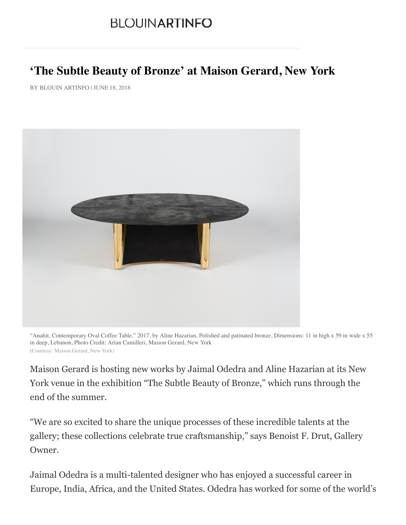## **BLOUINARTINFO**

## **'The Subtle Beauty of Bronze' at Maison Gerard, New York**

BY BLOUIN ARTINFO | JUNE 18, 2018



"Anahit, Contemporary Oval Coffee Table," 2017, by Aline Hazarian, Polished and patinated bronze, Dimensions: 11 in high x 59 in wide x 55 in deep, Lebanon, Photo Credit: Arian Camilleri, Maison Gerard, New York (Courtesy: Maison Gerard, New York)

Maison Gerard is hosting new works by Jaimal Odedra and Aline Hazarian at its New York venue in the exhibition "The Subtle Beauty of Bronze," which runs through the end of the summer.

"We are so excited to share the unique processes of these incredible talents at the gallery; these collections celebrate true craftsmanship," says Benoist F. Drut, Gallery Owner.

Jaimal Odedra is a multi-talented designer who has enjoyed a successful career in Europe, India, Africa, and the United States. Odedra has worked for some of the world's